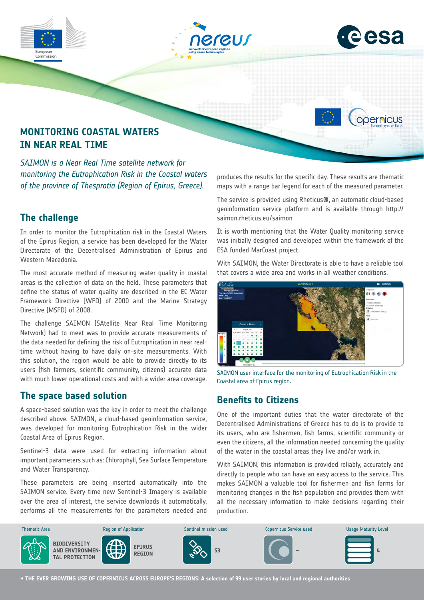

*SAIMON is a Near Real Time satellite network for monitoring the Eutrophication Risk in the Coastal waters of the province of Thesprotia (Region of Epirus, Greece).*

# **The challenge**

In order to monitor the Eutrophication risk in the Coastal Waters of the Epirus Region, a service has been developed for the Water Directorate of the Decentralised Administration of Epirus and Western Macedonia.

The most accurate method of measuring water quality in coastal areas is the collection of data on the field. These parameters that define the status of water quality are described in the EC Water Framework Directive (WFD) of 2000 and the Marine Strategy Directive (MSFD) of 2008.

The challenge SAIMON (SAtellite Near Real Time Monitoring Network) had to meet was to provide accurate measurements of the data needed for defining the risk of Eutrophication in near realtime without having to have daily on-site measurements. With this solution, the region would be able to provide directly to its users (fish farmers, scientific community, citizens) accurate data with much lower operational costs and with a wider area coverage.

# **The space based solution**

A space-based solution was the key in order to meet the challenge described above. SAIMON, a cloud-based geoinformation service, was developed for monitoring Eutrophication Risk in the wider Coastal Area of Epirus Region.

Sentinel-3 data were used for extracting information about important parameters such as: Chlorophyll, Sea Surface Temperature and Water Transparency.

These parameters are being inserted automatically into the SAIMON service. Every time new Sentinel-3 Imagery is available over the area of interest, the service downloads it automatically, performs all the measurements for the parameters needed and produces the results for the specific day. These results are thematic maps with a range bar legend for each of the measured parameter.

The service is provided using Rheticus®, an automatic cloud-based geoinformation service platform and is available through http:// saimon.rheticus.eu/saimon

It is worth mentioning that the Water Quality monitoring service was initially designed and developed within the framework of the ESA funded MarCoast project.

With SAIMON, the Water Directorate is able to have a reliable tool that covers a wide area and works in all weather conditions.



SAIMON user interface for the monitoring of Eutrophication Risk in the Coastal area of Epirus region.

# **Benefits to Citizens**

One of the important duties that the water directorate of the Decentralised Administrations of Greece has to do is to provide to its users, who are fishermen, fish farms, scientific community or even the citizens, all the information needed concerning the quality of the water in the coastal areas they live and/or work in.

With SAIMON, this information is provided reliably, accurately and directly to people who can have an easy access to the service. This makes SAIMON a valuable tool for fishermen and fish farms for monitoring changes in the fish population and provides them with all the necessary information to make decisions regarding their production.



**→ THE EVER GROWING USE OF COPERNICUS ACROSS EUROPE'S REGIONS: A selection of 99 user stories by local and regional authorities**